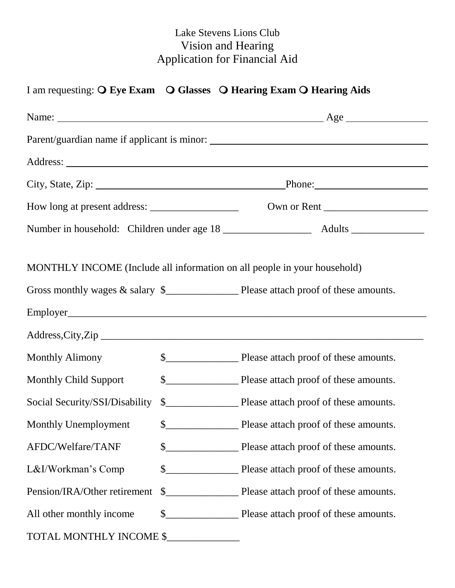## Lake Stevens Lions Club Vision and Hearing Application for Financial Aid

## I am requesting:  $\overline{O}$  Eye Exam  $\overline{O}$  Glasses  $\overline{O}$  Hearing Exam  $\overline{O}$  Hearing Aids

| MONTHLY INCOME (Include all information on all people in your household) |  |  |  |  |
|--------------------------------------------------------------------------|--|--|--|--|
|                                                                          |  |  |  |  |
|                                                                          |  |  |  |  |
|                                                                          |  |  |  |  |
| <b>Monthly Alimony</b>                                                   |  |  |  |  |
| <b>Monthly Child Support</b>                                             |  |  |  |  |
| Social Security/SSI/Disability                                           |  |  |  |  |
| Monthly Unemployment                                                     |  |  |  |  |
| AFDC/Welfare/TANF                                                        |  |  |  |  |
| L&I/Workman's Comp                                                       |  |  |  |  |
| Pension/IRA/Other retirement                                             |  |  |  |  |
| All other monthly income                                                 |  |  |  |  |
| TOTAL MONTHLY INCOME \$                                                  |  |  |  |  |